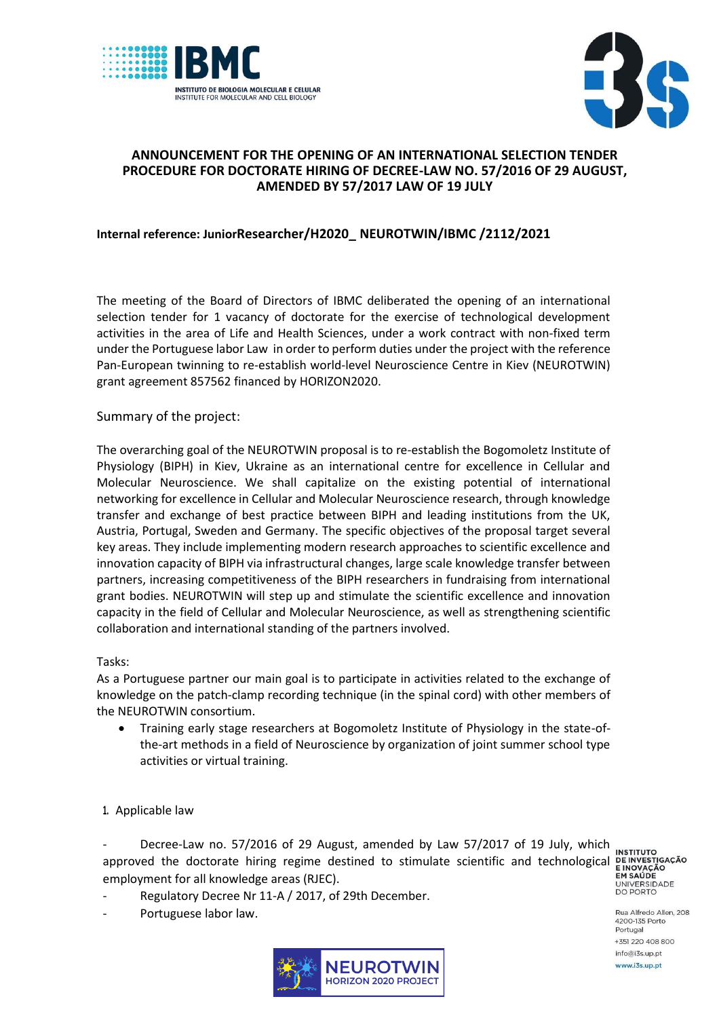



## **ANNOUNCEMENT FOR THE OPENING OF AN INTERNATIONAL SELECTION TENDER PROCEDURE FOR DOCTORATE HIRING OF DECREE-LAW NO. 57/2016 OF 29 AUGUST, AMENDED BY 57/2017 LAW OF 19 JULY**

# **Internal reference: JuniorResearcher/H2020\_ NEUROTWIN/IBMC /2112/2021**

The meeting of the Board of Directors of IBMC deliberated the opening of an international selection tender for 1 vacancy of doctorate for the exercise of technological development activities in the area of Life and Health Sciences, under a work contract with non-fixed term under the Portuguese labor Law in order to perform duties under the project with the reference Pan-European twinning to re-establish world-level Neuroscience Centre in Kiev (NEUROTWIN) grant agreement 857562 financed by HORIZON2020.

## Summary of the project:

The overarching goal of the NEUROTWIN proposal is to re-establish the Bogomoletz Institute of Physiology (BIPH) in Kiev, Ukraine as an international centre for excellence in Cellular and Molecular Neuroscience. We shall capitalize on the existing potential of international networking for excellence in Cellular and Molecular Neuroscience research, through knowledge transfer and exchange of best practice between BIPH and leading institutions from the UK, Austria, Portugal, Sweden and Germany. The specific objectives of the proposal target several key areas. They include implementing modern research approaches to scientific excellence and innovation capacity of BIPH via infrastructural changes, large scale knowledge transfer between partners, increasing competitiveness of the BIPH researchers in fundraising from international grant bodies. NEUROTWIN will step up and stimulate the scientific excellence and innovation capacity in the field of Cellular and Molecular Neuroscience, as well as strengthening scientific collaboration and international standing of the partners involved.

### Tasks:

As a Portuguese partner our main goal is to participate in activities related to the exchange of knowledge on the patch-clamp recording technique (in the spinal cord) with other members of the NEUROTWIN consortium.

 Training early stage researchers at Bogomoletz Institute of Physiology in the state-ofthe-art methods in a field of Neuroscience by organization of joint summer school type activities or virtual training.

### **1.** Applicable law

Decree-Law no. 57/2016 of 29 August, amended by Law 57/2017 of 19 July, which approved the doctorate hiring regime destined to stimulate scientific and technological **DEINVESTIGAÇÃO**<br>employment for all knowledge areas (RIFC). employment for all knowledge areas (RJEC).

- Regulatory Decree Nr 11-A / 2017, of 29th December.
- Portuguese labor law.



**INSTITUTO** UNIVERSIDADE<br>DO PORTO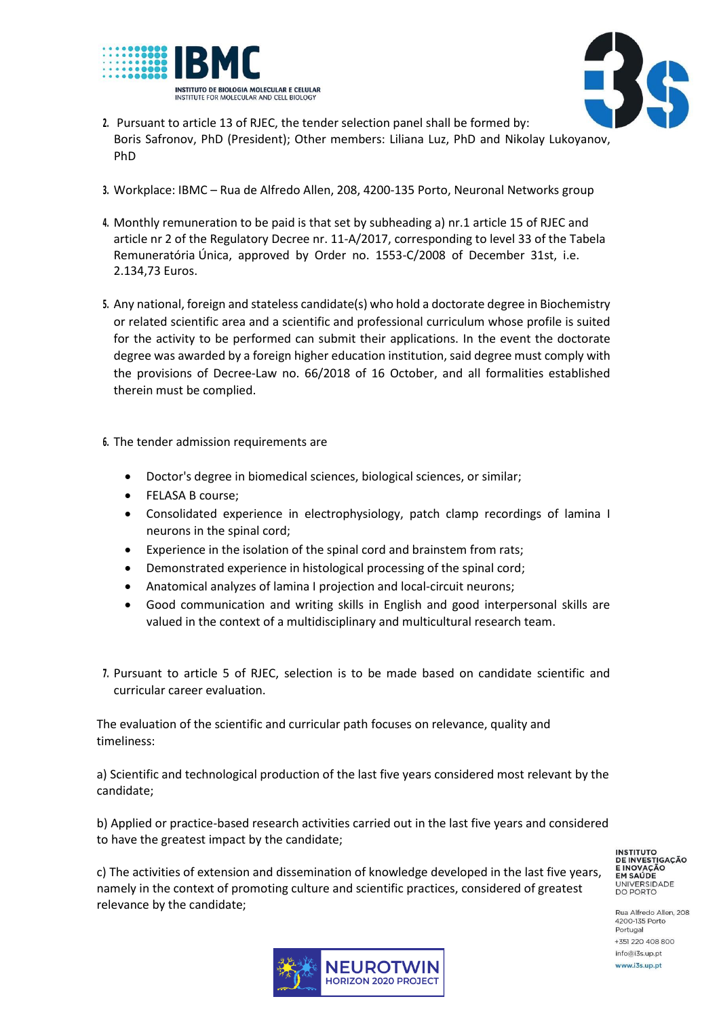



- **2.** Pursuant to article 13 of RJEC, the tender selection panel shall be formed by: Boris Safronov, PhD (President); Other members: Liliana Luz, PhD and Nikolay Lukoyanov, PhD
- **3.** Workplace: IBMC Rua de Alfredo Allen, 208, 4200-135 Porto, Neuronal Networks group
- **4.** Monthly remuneration to be paid is that set by subheading a) nr.1 article 15 of RJEC and article nr 2 of the Regulatory Decree nr. 11-A/2017, corresponding to level 33 of the Tabela Remuneratória Única, approved by Order no. 1553-C/2008 of December 31st, i.e. 2.134,73 Euros.
- **5.** Any national, foreign and stateless candidate(s) who hold a doctorate degree in Biochemistry or related scientific area and a scientific and professional curriculum whose profile is suited for the activity to be performed can submit their applications. In the event the doctorate degree was awarded by a foreign higher education institution, said degree must comply with the provisions of Decree-Law no. 66/2018 of 16 October, and all formalities established therein must be complied.
- **6.** The tender admission requirements are
	- Doctor's degree in biomedical sciences, biological sciences, or similar;
	- FELASA B course:
	- Consolidated experience in electrophysiology, patch clamp recordings of lamina I neurons in the spinal cord;
	- Experience in the isolation of the spinal cord and brainstem from rats;
	- Demonstrated experience in histological processing of the spinal cord;
	- Anatomical analyzes of lamina I projection and local-circuit neurons;
	- Good communication and writing skills in English and good interpersonal skills are valued in the context of a multidisciplinary and multicultural research team.
- **7.** Pursuant to article 5 of RJEC, selection is to be made based on candidate scientific and curricular career evaluation.

The evaluation of the scientific and curricular path focuses on relevance, quality and timeliness:

a) Scientific and technological production of the last five years considered most relevant by the candidate;

b) Applied or practice-based research activities carried out in the last five years and considered to have the greatest impact by the candidate;

c) The activities of extension and dissemination of knowledge developed in the last five years, namely in the context of promoting culture and scientific practices, considered of greatest relevance by the candidate;



**INSTITUTO DE INVESTIGAÇÃO** E INOVAÇÃO EM SAÚDE UNIVERSIDADE<br>DO PORTO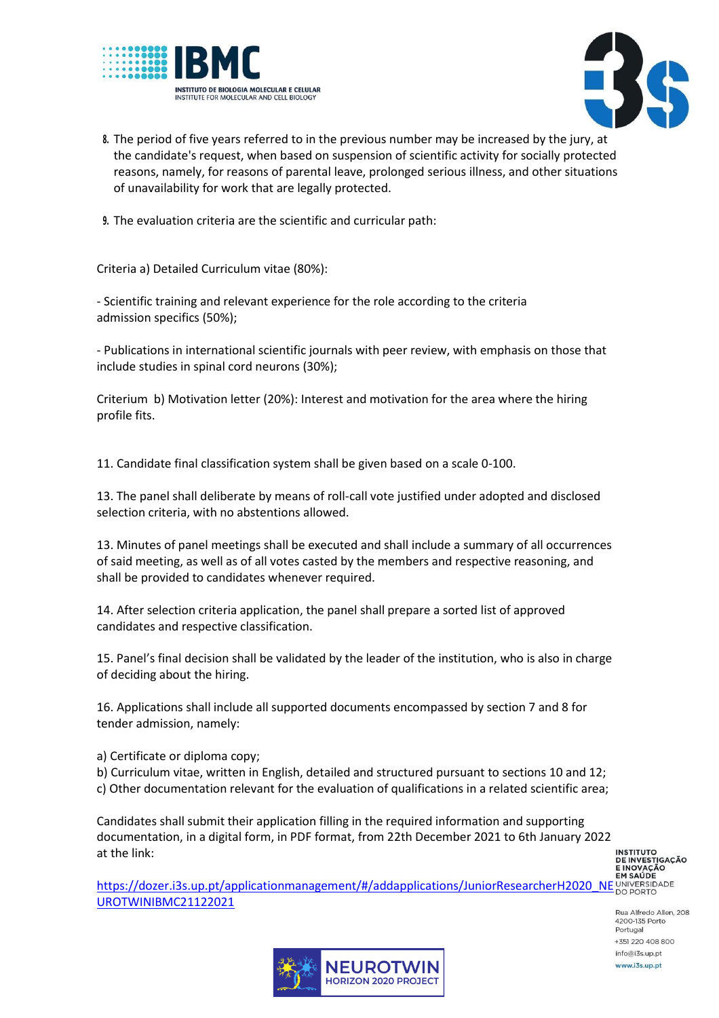



- **8.** The period of five years referred to in the previous number may be increased by the jury, at the candidate's request, when based on suspension of scientific activity for socially protected reasons, namely, for reasons of parental leave, prolonged serious illness, and other situations of unavailability for work that are legally protected.
- **9.** The evaluation criteria are the scientific and curricular path:

Criteria a) Detailed Curriculum vitae (80%):

- Scientific training and relevant experience for the role according to the criteria admission specifics (50%);

- Publications in international scientific journals with peer review, with emphasis on those that include studies in spinal cord neurons (30%);

Criterium b) Motivation letter (20%): Interest and motivation for the area where the hiring profile fits.

11. Candidate final classification system shall be given based on a scale 0-100.

13. The panel shall deliberate by means of roll-call vote justified under adopted and disclosed selection criteria, with no abstentions allowed.

13. Minutes of panel meetings shall be executed and shall include a summary of all occurrences of said meeting, as well as of all votes casted by the members and respective reasoning, and shall be provided to candidates whenever required.

14. After selection criteria application, the panel shall prepare a sorted list of approved candidates and respective classification.

15. Panel's final decision shall be validated by the leader of the institution, who is also in charge of deciding about the hiring.

16. Applications shall include all supported documents encompassed by section 7 and 8 for tender admission, namely:

a) Certificate or diploma copy;

b) Curriculum vitae, written in English, detailed and structured pursuant to sections 10 and 12; c) Other documentation relevant for the evaluation of qualifications in a related scientific area;

Candidates shall submit their application filling in the required information and supporting documentation, in a digital form, in PDF format, from 22th December 2021 to 6th January 2022 at the link:

**INSTITUTO DE INVESTIGAÇÃO** 

FINOVACAO<br>EINOVACAO<br>[https://dozer.i3s.up.pt/applicationmanagement/#/addapplications/JuniorResearcherH2020\\_NE](https://dozer.i3s.up.pt/applicationmanagement/#/addapplications/JuniorResearcherH2020_NEUROTWINIBMC21122021)UNIVERSIOADE [UROTWINIBMC21122021](https://dozer.i3s.up.pt/applicationmanagement/#/addapplications/JuniorResearcherH2020_NEUROTWINIBMC21122021)